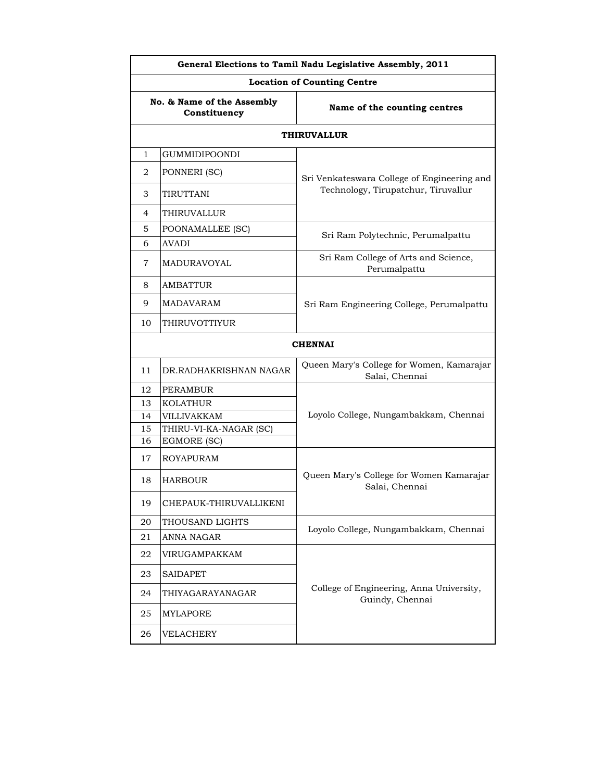| General Elections to Tamil Nadu Legislative Assembly, 2011 |                        |                                                             |
|------------------------------------------------------------|------------------------|-------------------------------------------------------------|
| <b>Location of Counting Centre</b>                         |                        |                                                             |
| No. & Name of the Assembly<br>Constituency                 |                        | Name of the counting centres                                |
|                                                            |                        | <b>THIRUVALLUR</b>                                          |
| $\mathbf{1}$                                               | <b>GUMMIDIPOONDI</b>   |                                                             |
| 2                                                          | PONNERI (SC)           | Sri Venkateswara College of Engineering and                 |
| 3                                                          | TIRUTTANI              | Technology, Tirupatchur, Tiruvallur                         |
| 4                                                          | THIRUVALLUR            |                                                             |
| 5.                                                         | POONAMALLEE (SC)       |                                                             |
| 6                                                          | AVADI                  | Sri Ram Polytechnic, Perumalpattu                           |
| 7                                                          | MADURAVOYAL            | Sri Ram College of Arts and Science,<br>Perumalpattu        |
| 8                                                          | <b>AMBATTUR</b>        |                                                             |
| 9                                                          | MADAVARAM              | Sri Ram Engineering College, Perumalpattu                   |
| 10                                                         | THIRUVOTTIYUR          |                                                             |
|                                                            |                        | <b>CHENNAI</b>                                              |
| 11                                                         | DR.RADHAKRISHNAN NAGAR | Queen Mary's College for Women, Kamarajar<br>Salai, Chennai |
| 12                                                         | <b>PERAMBUR</b>        |                                                             |
| 13                                                         | <b>KOLATHUR</b>        |                                                             |
| 14                                                         | VILLIVAKKAM            | Loyolo College, Nungambakkam, Chennai                       |
| 15                                                         | THIRU-VI-KA-NAGAR (SC) |                                                             |
| 16                                                         | EGMORE (SC)            |                                                             |
| 17                                                         | ROYAPURAM              |                                                             |
| 18                                                         | <b>HARBOUR</b>         | Queen Mary's College for Women Kamarajar<br>Salai, Chennai  |
| 19                                                         | CHEPAUK-THIRUVALLIKENI |                                                             |
| 20                                                         | THOUSAND LIGHTS        | Loyolo College, Nungambakkam, Chennai                       |
| 21                                                         | ANNA NAGAR             |                                                             |
| 22                                                         | VIRUGAMPAKKAM          |                                                             |
| 23                                                         | <b>SAIDAPET</b>        |                                                             |
| 24                                                         | THIYAGARAYANAGAR       | College of Engineering, Anna University,<br>Guindy, Chennai |
| 25                                                         | MYLAPORE               |                                                             |
| 26                                                         | VELACHERY              |                                                             |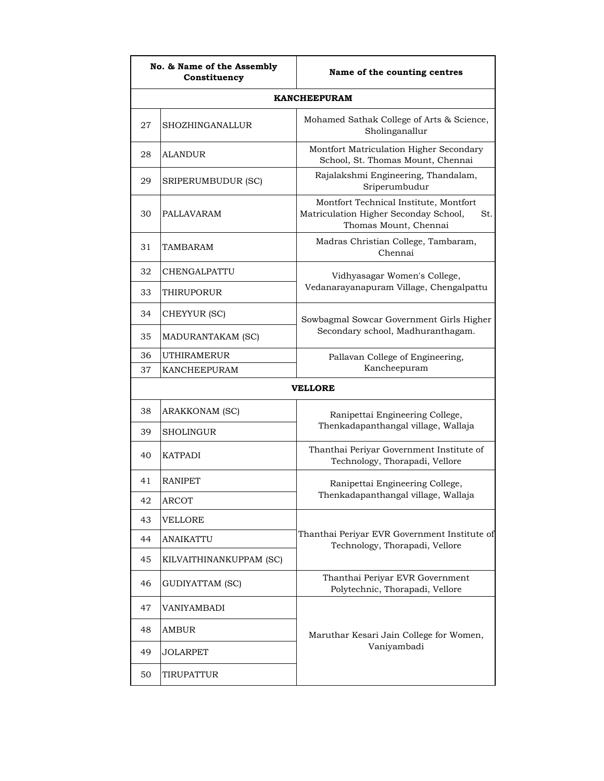| No. & Name of the Assembly<br>Constituency |                         | Name of the counting centres                                                                                    |
|--------------------------------------------|-------------------------|-----------------------------------------------------------------------------------------------------------------|
|                                            |                         | <b>KANCHEEPURAM</b>                                                                                             |
| 27                                         | SHOZHINGANALLUR         | Mohamed Sathak College of Arts & Science,<br>Sholinganallur                                                     |
| 28                                         | <b>ALANDUR</b>          | Montfort Matriculation Higher Secondary<br>School, St. Thomas Mount, Chennai                                    |
| 29                                         | SRIPERUMBUDUR (SC)      | Rajalakshmi Engineering, Thandalam,<br>Sriperumbudur                                                            |
| 30                                         | PALLAVARAM              | Montfort Technical Institute, Montfort<br>Matriculation Higher Seconday School,<br>St.<br>Thomas Mount, Chennai |
| 31                                         | TAMBARAM                | Madras Christian College, Tambaram,<br>Chennai                                                                  |
| 32                                         | CHENGALPATTU            | Vidhyasagar Women's College,                                                                                    |
| 33                                         | THIRUPORUR              | Vedanarayanapuram Village, Chengalpattu                                                                         |
| 34                                         | CHEYYUR (SC)            | Sowbagmal Sowcar Government Girls Higher                                                                        |
| 35                                         | MADURANTAKAM (SC)       | Secondary school, Madhuranthagam.                                                                               |
| 36                                         | <b>UTHIRAMERUR</b>      | Pallavan College of Engineering,                                                                                |
| 37                                         | <b>KANCHEEPURAM</b>     | Kancheepuram                                                                                                    |
|                                            |                         | <b>VELLORE</b>                                                                                                  |
| 38                                         | ARAKKONAM (SC)          | Ranipettai Engineering College,                                                                                 |
| 39                                         | SHOLINGUR               | Thenkadapanthangal village, Wallaja                                                                             |
| 40                                         | <b>KATPADI</b>          | Thanthai Periyar Government Institute of<br>Technology, Thorapadi, Vellore                                      |
| 41                                         | RANIPET                 | Ranipettai Engineering College,                                                                                 |
| 42                                         | <b>ARCOT</b>            | Thenkadapanthangal village, Wallaja                                                                             |
| 43                                         | <b>VELLORE</b>          |                                                                                                                 |
| 44                                         | ANAIKATTU               | Thanthai Periyar EVR Government Institute of<br>Technology, Thorapadi, Vellore                                  |
| 45                                         | KILVAITHINANKUPPAM (SC) |                                                                                                                 |
| 46                                         | GUDIYATTAM (SC)         | Thanthai Periyar EVR Government<br>Polytechnic, Thorapadi, Vellore                                              |
| 47                                         | VANIYAMBADI             |                                                                                                                 |
| 48                                         | AMBUR                   | Maruthar Kesari Jain College for Women,                                                                         |
| 49                                         | JOLARPET                | Vaniyambadi                                                                                                     |
| 50                                         | TIRUPATTUR              |                                                                                                                 |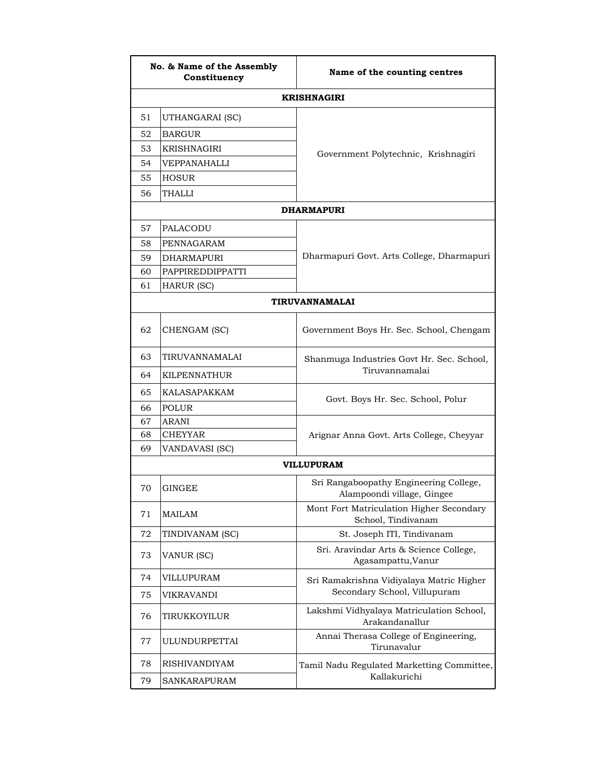|    | No. & Name of the Assembly<br>Constituency | Name of the counting centres                                         |
|----|--------------------------------------------|----------------------------------------------------------------------|
|    |                                            | <b>KRISHNAGIRI</b>                                                   |
| 51 | UTHANGARAI (SC)                            |                                                                      |
| 52 | <b>BARGUR</b>                              |                                                                      |
| 53 | KRISHNAGIRI                                | Government Polytechnic, Krishnagiri                                  |
| 54 | VEPPANAHALLI                               |                                                                      |
| 55 | <b>HOSUR</b>                               |                                                                      |
| 56 | THALLI                                     |                                                                      |
|    |                                            | <b>DHARMAPURI</b>                                                    |
| 57 | PALACODU                                   |                                                                      |
| 58 | PENNAGARAM                                 |                                                                      |
| 59 | <b>DHARMAPURI</b>                          | Dharmapuri Govt. Arts College, Dharmapuri                            |
| 60 | PAPPIREDDIPPATTI                           |                                                                      |
| 61 | HARUR (SC)                                 |                                                                      |
|    |                                            | TIRUVANNAMALAI                                                       |
| 62 | CHENGAM (SC)                               | Government Boys Hr. Sec. School, Chengam                             |
| 63 | TIRUVANNAMALAI                             | Shanmuga Industries Govt Hr. Sec. School,                            |
| 64 | KILPENNATHUR                               | Tiruvannamalai                                                       |
| 65 | KALASAPAKKAM                               | Govt. Boys Hr. Sec. School, Polur                                    |
| 66 | POLUR                                      |                                                                      |
| 67 | <b>ARANI</b>                               |                                                                      |
| 68 | CHEYYAR                                    | Arignar Anna Govt. Arts College, Cheyyar                             |
| 69 | VANDAVASI (SC)                             |                                                                      |
|    |                                            | VILLUPURAM                                                           |
| 70 | GINGEE                                     | Sri Rangaboopathy Engineering College,<br>Alampoondi village, Gingee |
| 71 | <b>MAILAM</b>                              | Mont Fort Matriculation Higher Secondary<br>School, Tindivanam       |
| 72 | TINDIVANAM (SC)                            | St. Joseph ITI, Tindivanam                                           |
| 73 | VANUR (SC)                                 | Sri. Aravindar Arts & Science College,<br>Agasampattu, Vanur         |
| 74 | VILLUPURAM                                 | Sri Ramakrishna Vidiyalaya Matric Higher                             |
| 75 | VIKRAVANDI                                 | Secondary School, Villupuram                                         |
| 76 | TIRUKKOYILUR                               | Lakshmi Vidhyalaya Matriculation School,<br>Arakandanallur           |
| 77 | ULUNDURPETTAI                              | Annai Therasa College of Engineering,<br>Tirunavalur                 |
| 78 | <b>RISHIVANDIYAM</b>                       | Tamil Nadu Regulated Marketting Committee,<br>Kallakurichi           |
| 79 | SANKARAPURAM                               |                                                                      |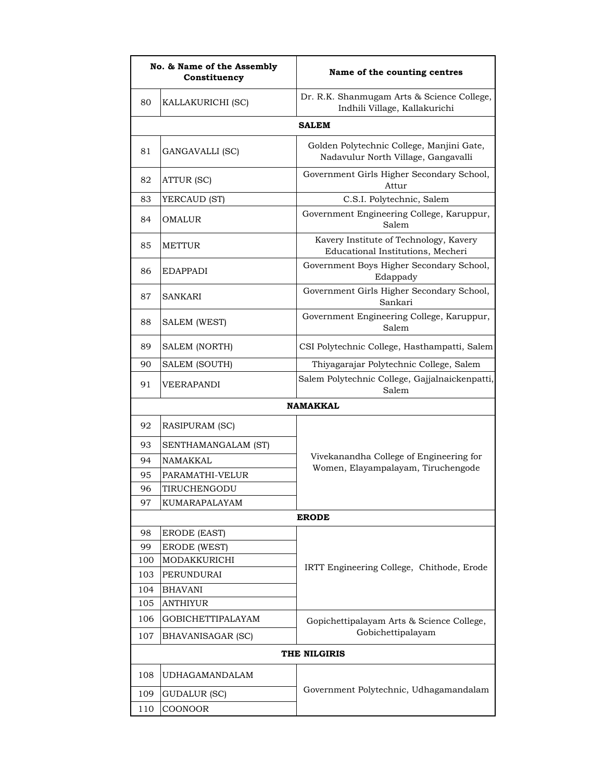| No. & Name of the Assembly<br>Constituency |                     | Name of the counting centres                                                     |
|--------------------------------------------|---------------------|----------------------------------------------------------------------------------|
| 80                                         | KALLAKURICHI (SC)   | Dr. R.K. Shanmugam Arts & Science College,<br>Indhili Village, Kallakurichi      |
|                                            |                     | <b>SALEM</b>                                                                     |
| 81                                         | GANGAVALLI (SC)     | Golden Polytechnic College, Manjini Gate,<br>Nadavulur North Village, Gangavalli |
| 82                                         | ATTUR (SC)          | Government Girls Higher Secondary School,<br>Attur                               |
| 83                                         | YERCAUD (ST)        | C.S.I. Polytechnic, Salem                                                        |
| 84                                         | OMALUR              | Government Engineering College, Karuppur,<br>Salem                               |
| 85                                         | <b>METTUR</b>       | Kavery Institute of Technology, Kavery<br>Educational Institutions, Mecheri      |
| 86                                         | <b>EDAPPADI</b>     | Government Boys Higher Secondary School,<br>Edappady                             |
| 87                                         | <b>SANKARI</b>      | Government Girls Higher Secondary School,<br>Sankari                             |
| 88                                         | <b>SALEM (WEST)</b> | Government Engineering College, Karuppur,<br>Salem                               |
| 89                                         | SALEM (NORTH)       | CSI Polytechnic College, Hasthampatti, Salem                                     |
| 90                                         | SALEM (SOUTH)       | Thiyagarajar Polytechnic College, Salem                                          |
| 91                                         | VEERAPANDI          | Salem Polytechnic College, Gajjalnaickenpatti,<br>Salem                          |
|                                            |                     | <b>NAMAKKAL</b>                                                                  |
| 92                                         | RASIPURAM (SC)      |                                                                                  |
| 93                                         | SENTHAMANGALAM (ST) |                                                                                  |
| 94                                         | NAMAKKAL            | Vivekanandha College of Engineering for                                          |
| 95                                         | PARAMATHI-VELUR     | Women, Elayampalayam, Tiruchengode                                               |
| 96                                         | TIRUCHENGODU        |                                                                                  |
| 97                                         | KUMARAPALAYAM       |                                                                                  |
|                                            |                     | <b>ERODE</b>                                                                     |
| 98                                         | <b>ERODE (EAST)</b> |                                                                                  |
| 99                                         | <b>ERODE (WEST)</b> |                                                                                  |
| 100                                        | MODAKKURICHI        | IRTT Engineering College, Chithode, Erode                                        |
| 103                                        | PERUNDURAI          |                                                                                  |
| 104                                        | <b>BHAVANI</b>      |                                                                                  |
| 105                                        | <b>ANTHIYUR</b>     |                                                                                  |
| 106                                        | GOBICHETTIPALAYAM   | Gopichettipalayam Arts & Science College,<br>Gobichettipalayam                   |
| 107                                        | BHAVANISAGAR (SC)   |                                                                                  |
|                                            |                     | THE NILGIRIS                                                                     |
| 108                                        | UDHAGAMANDALAM      | Government Polytechnic, Udhagamandalam                                           |
| 109                                        | GUDALUR (SC)        |                                                                                  |
| 110                                        | COONOOR             |                                                                                  |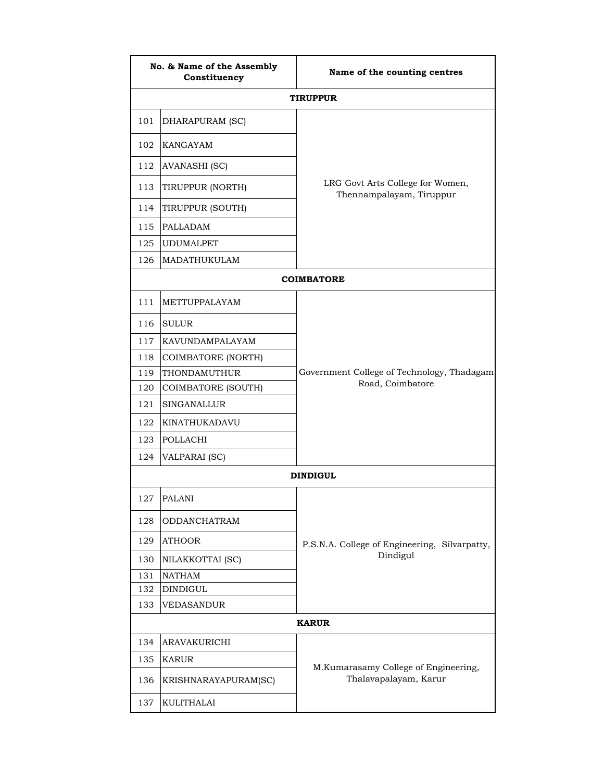| No. & Name of the Assembly<br>Constituency |                      | Name of the counting centres                                  |  |
|--------------------------------------------|----------------------|---------------------------------------------------------------|--|
|                                            |                      | <b>TIRUPPUR</b>                                               |  |
| 101                                        | DHARAPURAM (SC)      |                                                               |  |
| 102                                        | KANGAYAM             | LRG Govt Arts College for Women,<br>Thennampalayam, Tiruppur  |  |
| 112                                        | <b>AVANASHI (SC)</b> |                                                               |  |
| 113                                        | TIRUPPUR (NORTH)     |                                                               |  |
| 114                                        | TIRUPPUR (SOUTH)     |                                                               |  |
| 115                                        | <b>PALLADAM</b>      |                                                               |  |
| 125                                        | <b>UDUMALPET</b>     |                                                               |  |
| 126                                        | MADATHUKULAM         |                                                               |  |
|                                            |                      | <b>COIMBATORE</b>                                             |  |
| 111                                        | METTUPPALAYAM        |                                                               |  |
| 116                                        | <b>SULUR</b>         |                                                               |  |
| 117                                        | KAVUNDAMPALAYAM      |                                                               |  |
| 118                                        | COIMBATORE (NORTH)   |                                                               |  |
| 119                                        | THONDAMUTHUR         | Government College of Technology, Thadagam                    |  |
| 120                                        | COIMBATORE (SOUTH)   | Road, Coimbatore                                              |  |
| 121                                        | <b>SINGANALLUR</b>   |                                                               |  |
| 122                                        | KINATHUKADAVU        |                                                               |  |
| 123                                        | POLLACHI             |                                                               |  |
| 124                                        | <b>VALPARAI</b> (SC) |                                                               |  |
|                                            |                      | <b>DINDIGUL</b>                                               |  |
| 127                                        | <b>PALANI</b>        |                                                               |  |
| 128                                        | ODDANCHATRAM         |                                                               |  |
| 129                                        | <b>ATHOOR</b>        | P.S.N.A. College of Engineering, Silvarpatty,                 |  |
| 130                                        | NILAKKOTTAI (SC)     | Dindigul                                                      |  |
| 131                                        | <b>NATHAM</b>        |                                                               |  |
| 132                                        | <b>DINDIGUL</b>      |                                                               |  |
| 133                                        | VEDASANDUR           |                                                               |  |
| <b>KARUR</b>                               |                      |                                                               |  |
| 134                                        | ARAVAKURICHI         |                                                               |  |
| 135                                        | KARUR                |                                                               |  |
| 136                                        | KRISHNARAYAPURAM(SC) | M.Kumarasamy College of Engineering,<br>Thalavapalayam, Karur |  |
| 137                                        | KULITHALAI           |                                                               |  |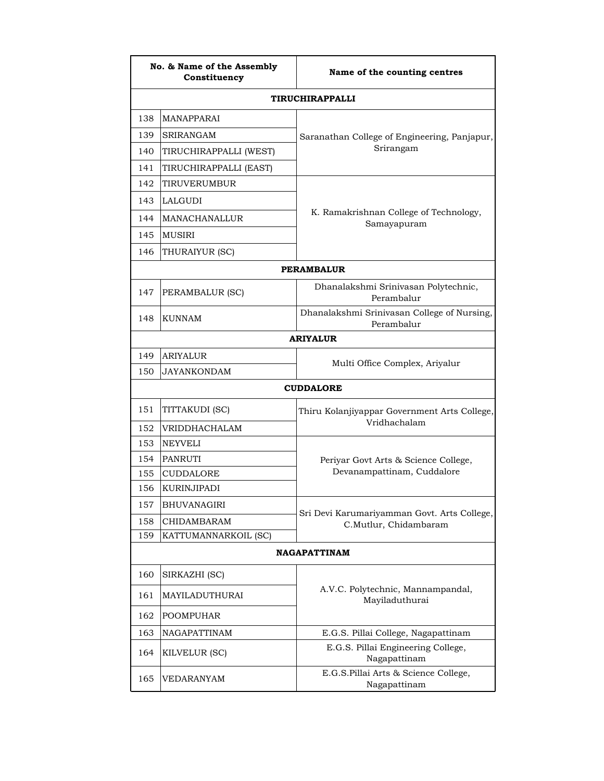| No. & Name of the Assembly<br>Constituency |                        | Name of the counting centres                              |  |
|--------------------------------------------|------------------------|-----------------------------------------------------------|--|
|                                            |                        | <b>TIRUCHIRAPPALLI</b>                                    |  |
| 138                                        | MANAPPARAI             |                                                           |  |
| 139                                        | SRIRANGAM              | Saranathan College of Engineering, Panjapur,              |  |
| 140                                        | TIRUCHIRAPPALLI (WEST) | Srirangam                                                 |  |
| 141                                        | TIRUCHIRAPPALLI (EAST) |                                                           |  |
| 142                                        | TIRUVERUMBUR           |                                                           |  |
| 143                                        | <b>LALGUDI</b>         |                                                           |  |
| 144                                        | MANACHANALLUR          | K. Ramakrishnan College of Technology,<br>Samayapuram     |  |
| 145                                        | MUSIRI                 |                                                           |  |
| 146                                        | THURAIYUR (SC)         |                                                           |  |
| <b>PERAMBALUR</b>                          |                        |                                                           |  |
| 147                                        | PERAMBALUR (SC)        | Dhanalakshmi Srinivasan Polytechnic,<br>Perambalur        |  |
| 148                                        | KUNNAM                 | Dhanalakshmi Srinivasan College of Nursing,<br>Perambalur |  |
|                                            |                        | <b>ARIYALUR</b>                                           |  |
| 149                                        | <b>ARIYALUR</b>        |                                                           |  |
| 150                                        | JAYANKONDAM            | Multi Office Complex, Ariyalur                            |  |
|                                            |                        | <b>CUDDALORE</b>                                          |  |
| 151                                        | TITTAKUDI (SC)         | Thiru Kolanjiyappar Government Arts College,              |  |
| 152                                        | VRIDDHACHALAM          | Vridhachalam                                              |  |
| 153                                        | <b>NEYVELI</b>         |                                                           |  |
| 154                                        | PANRUTI                | Periyar Govt Arts & Science College,                      |  |
| 155                                        | <b>CUDDALORE</b>       | Devanampattinam, Cuddalore                                |  |
| 156                                        | KURINJIPADI            |                                                           |  |
| 157                                        | <b>BHUVANAGIRI</b>     | Sri Devi Karumariyamman Govt. Arts College,               |  |
| 158                                        | <b>CHIDAMBARAM</b>     | C.Mutlur, Chidambaram                                     |  |
| 159                                        | KATTUMANNARKOIL (SC)   |                                                           |  |
| <b>NAGAPATTINAM</b>                        |                        |                                                           |  |
| 160                                        | SIRKAZHI (SC)          |                                                           |  |
| 161                                        | MAYILADUTHURAI         | A.V.C. Polytechnic, Mannampandal,<br>Mayiladuthurai       |  |
| 162                                        | <b>POOMPUHAR</b>       |                                                           |  |
| 163                                        | NAGAPATTINAM           | E.G.S. Pillai College, Nagapattinam                       |  |
| 164                                        | KILVELUR (SC)          | E.G.S. Pillai Engineering College,<br>Nagapattinam        |  |
| 165                                        | VEDARANYAM             | E.G.S.Pillai Arts & Science College,<br>Nagapattinam      |  |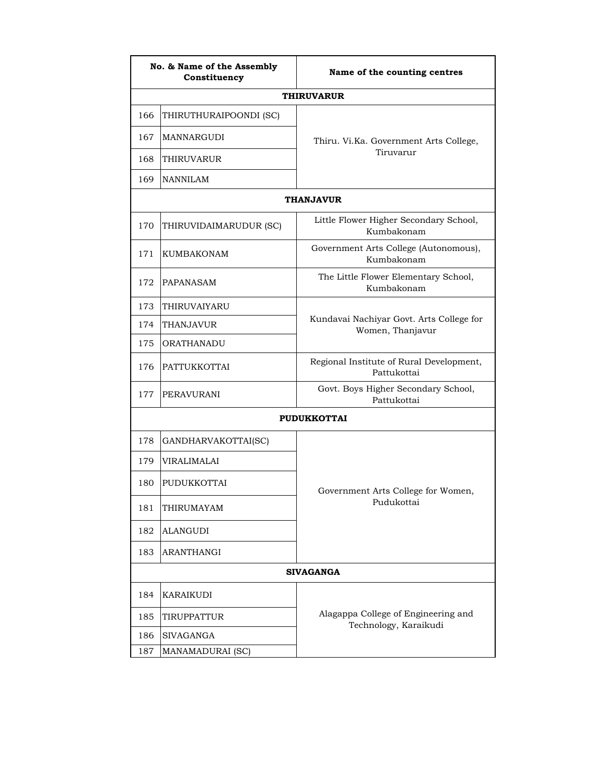| No. & Name of the Assembly<br>Constituency |                        | Name of the counting centres                                 |  |
|--------------------------------------------|------------------------|--------------------------------------------------------------|--|
|                                            |                        | <b>THIRUVARUR</b>                                            |  |
| 166                                        | THIRUTHURAIPOONDI (SC) |                                                              |  |
| 167                                        | MANNARGUDI             | Thiru. Vi.Ka. Government Arts College,                       |  |
| 168                                        | THIRUVARUR             | Tiruvarur                                                    |  |
| 169                                        | <b>NANNILAM</b>        |                                                              |  |
|                                            |                        | <b>THANJAVUR</b>                                             |  |
| 170                                        | THIRUVIDAIMARUDUR (SC) | Little Flower Higher Secondary School,<br>Kumbakonam         |  |
| 171                                        | <b>KUMBAKONAM</b>      | Government Arts College (Autonomous),<br>Kumbakonam          |  |
| 172                                        | PAPANASAM              | The Little Flower Elementary School,<br>Kumbakonam           |  |
| 173                                        | THIRUVAIYARU           |                                                              |  |
| 174                                        | THANJAVUR              | Kundavai Nachiyar Govt. Arts College for<br>Women, Thanjavur |  |
| 175                                        | ORATHANADU             |                                                              |  |
| 176                                        | PATTUKKOTTAI           | Regional Institute of Rural Development,<br>Pattukottai      |  |
| 177                                        | PERAVURANI             | Govt. Boys Higher Secondary School,<br>Pattukottai           |  |
|                                            |                        | <b>PUDUKKOTTAI</b>                                           |  |
| 178                                        | GANDHARVAKOTTAI(SC)    |                                                              |  |
| 179                                        | <b>VIRALIMALAI</b>     |                                                              |  |
| 180                                        | PUDUKKOTTAI            | Government Arts College for Women,                           |  |
| 181                                        | THIRUMAYAM             | Pudukottai                                                   |  |
| 182                                        | <b>ALANGUDI</b>        |                                                              |  |
| 183                                        | ARANTHANGI             |                                                              |  |
| <b>SIVAGANGA</b>                           |                        |                                                              |  |
| 184                                        | KARAIKUDI              |                                                              |  |
| 185                                        | TIRUPPATTUR            | Alagappa College of Engineering and                          |  |
| 186                                        | <b>SIVAGANGA</b>       | Technology, Karaikudi                                        |  |
| 187                                        | MANAMADURAI (SC)       |                                                              |  |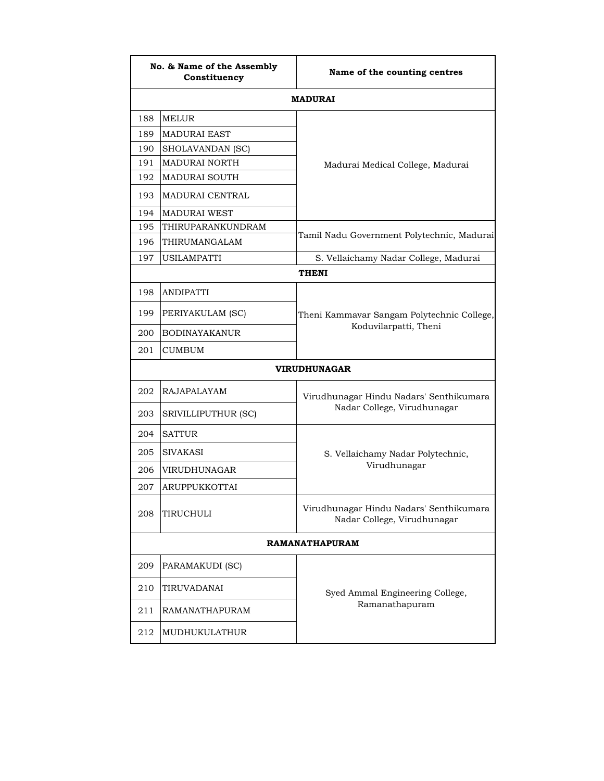| No. & Name of the Assembly<br>Constituency |                      | Name of the counting centres                                           |  |
|--------------------------------------------|----------------------|------------------------------------------------------------------------|--|
|                                            |                      | <b>MADURAI</b>                                                         |  |
| 188                                        | <b>MELUR</b>         |                                                                        |  |
| 189                                        | <b>MADURAI EAST</b>  |                                                                        |  |
| 190                                        | SHOLAVANDAN (SC)     |                                                                        |  |
| 191                                        | MADURAI NORTH        | Madurai Medical College, Madurai                                       |  |
| 192                                        | MADURAI SOUTH        |                                                                        |  |
| 193                                        | MADURAI CENTRAL      |                                                                        |  |
| 194                                        | <b>MADURAI WEST</b>  |                                                                        |  |
| 195                                        | THIRUPARANKUNDRAM    | Tamil Nadu Government Polytechnic, Madurai                             |  |
| 196                                        | THIRUMANGALAM        |                                                                        |  |
| 197                                        | USILAMPATTI          | S. Vellaichamy Nadar College, Madurai                                  |  |
|                                            |                      | <b>THENI</b>                                                           |  |
| 198                                        | <b>ANDIPATTI</b>     |                                                                        |  |
| 199                                        | PERIYAKULAM (SC)     | Theni Kammavar Sangam Polytechnic College,                             |  |
| 200                                        | <b>BODINAYAKANUR</b> | Koduvilarpatti, Theni                                                  |  |
| 201                                        | <b>CUMBUM</b>        |                                                                        |  |
| <b>VIRUDHUNAGAR</b>                        |                      |                                                                        |  |
| 202                                        | RAJAPALAYAM          | Virudhunagar Hindu Nadars' Senthikumara                                |  |
| 203                                        | SRIVILLIPUTHUR (SC)  | Nadar College, Virudhunagar                                            |  |
| 204                                        | <b>SATTUR</b>        |                                                                        |  |
| 205                                        | SIVAKASI             | S. Vellaichamy Nadar Polytechnic,                                      |  |
| 206                                        | VIRUDHUNAGAR         | Virudhunagar                                                           |  |
| 207                                        | ARUPPUKKOTTAI        |                                                                        |  |
| 208                                        | TIRUCHULI            | Virudhunagar Hindu Nadars' Senthikumara<br>Nadar College, Virudhunagar |  |
| <b>RAMANATHAPURAM</b>                      |                      |                                                                        |  |
| 209                                        | PARAMAKUDI (SC)      |                                                                        |  |
| 210                                        | TIRUVADANAI          | Syed Ammal Engineering College,                                        |  |
| 211                                        | RAMANATHAPURAM       | Ramanathapuram                                                         |  |
| 212                                        | MUDHUKULATHUR        |                                                                        |  |